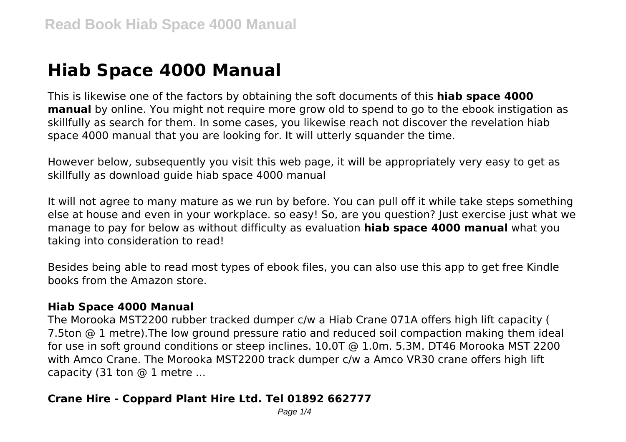# **Hiab Space 4000 Manual**

This is likewise one of the factors by obtaining the soft documents of this **hiab space 4000 manual** by online. You might not require more grow old to spend to go to the ebook instigation as skillfully as search for them. In some cases, you likewise reach not discover the revelation hiab space 4000 manual that you are looking for. It will utterly squander the time.

However below, subsequently you visit this web page, it will be appropriately very easy to get as skillfully as download guide hiab space 4000 manual

It will not agree to many mature as we run by before. You can pull off it while take steps something else at house and even in your workplace. so easy! So, are you question? Just exercise just what we manage to pay for below as without difficulty as evaluation **hiab space 4000 manual** what you taking into consideration to read!

Besides being able to read most types of ebook files, you can also use this app to get free Kindle books from the Amazon store.

## **Hiab Space 4000 Manual**

The Morooka MST2200 rubber tracked dumper c/w a Hiab Crane 071A offers high lift capacity ( 7.5ton @ 1 metre).The low ground pressure ratio and reduced soil compaction making them ideal for use in soft ground conditions or steep inclines. 10.0T @ 1.0m. 5.3M. DT46 Morooka MST 2200 with Amco Crane. The Morooka MST2200 track dumper c/w a Amco VR30 crane offers high lift capacity (31 ton  $@$  1 metre ...

# **Crane Hire - Coppard Plant Hire Ltd. Tel 01892 662777**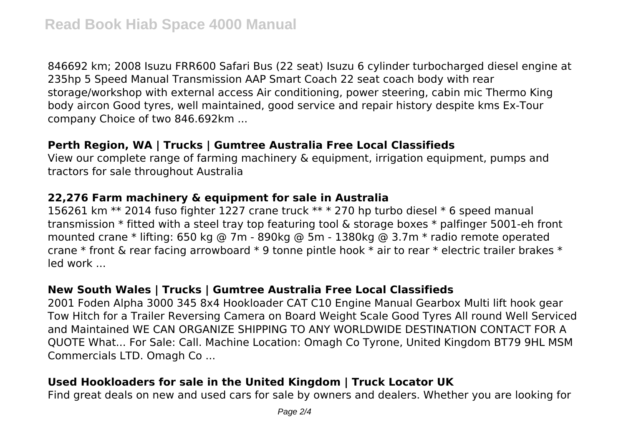846692 km; 2008 Isuzu FRR600 Safari Bus (22 seat) Isuzu 6 cylinder turbocharged diesel engine at 235hp 5 Speed Manual Transmission AAP Smart Coach 22 seat coach body with rear storage/workshop with external access Air conditioning, power steering, cabin mic Thermo King body aircon Good tyres, well maintained, good service and repair history despite kms Ex-Tour company Choice of two 846.692km ...

## **Perth Region, WA | Trucks | Gumtree Australia Free Local Classifieds**

View our complete range of farming machinery & equipment, irrigation equipment, pumps and tractors for sale throughout Australia

# **22,276 Farm machinery & equipment for sale in Australia**

156261 km \*\* 2014 fuso fighter 1227 crane truck \*\* \* 270 hp turbo diesel \* 6 speed manual transmission \* fitted with a steel tray top featuring tool & storage boxes \* palfinger 5001-eh front mounted crane \* lifting: 650 kg @ 7m - 890kg @ 5m - 1380kg @ 3.7m \* radio remote operated crane \* front & rear facing arrowboard \* 9 tonne pintle hook \* air to rear \* electric trailer brakes \* led work ...

# **New South Wales | Trucks | Gumtree Australia Free Local Classifieds**

2001 Foden Alpha 3000 345 8x4 Hookloader CAT C10 Engine Manual Gearbox Multi lift hook gear Tow Hitch for a Trailer Reversing Camera on Board Weight Scale Good Tyres All round Well Serviced and Maintained WE CAN ORGANIZE SHIPPING TO ANY WORLDWIDE DESTINATION CONTACT FOR A QUOTE What... For Sale: Call. Machine Location: Omagh Co Tyrone, United Kingdom BT79 9HL MSM Commercials LTD. Omagh Co ...

# **Used Hookloaders for sale in the United Kingdom | Truck Locator UK**

Find great deals on new and used cars for sale by owners and dealers. Whether you are looking for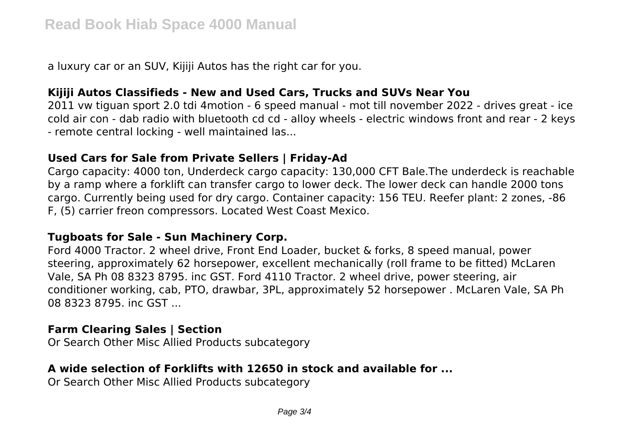a luxury car or an SUV, Kijiji Autos has the right car for you.

#### **Kijiji Autos Classifieds - New and Used Cars, Trucks and SUVs Near You**

2011 vw tiguan sport 2.0 tdi 4motion - 6 speed manual - mot till november 2022 - drives great - ice cold air con - dab radio with bluetooth cd cd - alloy wheels - electric windows front and rear - 2 keys - remote central locking - well maintained las...

#### **Used Cars for Sale from Private Sellers | Friday-Ad**

Cargo capacity: 4000 ton, Underdeck cargo capacity: 130,000 CFT Bale.The underdeck is reachable by a ramp where a forklift can transfer cargo to lower deck. The lower deck can handle 2000 tons cargo. Currently being used for dry cargo. Container capacity: 156 TEU. Reefer plant: 2 zones, -86 F, (5) carrier freon compressors. Located West Coast Mexico.

#### **Tugboats for Sale - Sun Machinery Corp.**

Ford 4000 Tractor. 2 wheel drive, Front End Loader, bucket & forks, 8 speed manual, power steering, approximately 62 horsepower, excellent mechanically (roll frame to be fitted) McLaren Vale, SA Ph 08 8323 8795. inc GST. Ford 4110 Tractor. 2 wheel drive, power steering, air conditioner working, cab, PTO, drawbar, 3PL, approximately 52 horsepower . McLaren Vale, SA Ph 08 8323 8795. inc GST ...

## **Farm Clearing Sales | Section**

Or Search Other Misc Allied Products subcategory

## **A wide selection of Forklifts with 12650 in stock and available for ...**

Or Search Other Misc Allied Products subcategory